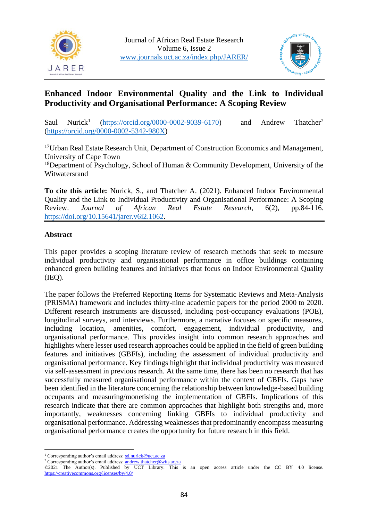



# **Enhanced Indoor Environmental Quality and the Link to Individual Productivity and Organisational Performance: A Scoping Review**

Saul Nurick<sup>1</sup> [\(https://orcid.org/0000-0002-9039-6170\)](https://orcid.org/0000-0002-9039-6170) and Andrew Thatcher<sup>2</sup> [\(https://orcid.org/0000-0002-5342-980X\)](https://orcid.org/0000-0002-5342-980X)

<sup>17</sup>Urban Real Estate Research Unit, Department of Construction Economics and Management, University of Cape Town

<sup>18</sup>Department of Psychology, School of Human  $&$  Community Development, University of the Witwatersrand

**To cite this article:** Nurick, S., and Thatcher A. (2021). Enhanced Indoor Environmental Quality and the Link to Individual Productivity and Organisational Performance: A Scoping Review. *Journal of African Real Estate Research*, 6(2), pp.84-116. [https://doi.org/10.15641/jarer.v6i2.1062.](https://doi.org/10.15641/jarer.v6i2.1062)

# **Abstract**

This paper provides a scoping literature review of research methods that seek to measure individual productivity and organisational performance in office buildings containing enhanced green building features and initiatives that focus on Indoor Environmental Quality  $(IEO).$ 

The paper follows the Preferred Reporting Items for Systematic Reviews and Meta-Analysis (PRISMA) framework and includes thirty-nine academic papers for the period 2000 to 2020. Different research instruments are discussed, including post-occupancy evaluations (POE), longitudinal surveys, and interviews. Furthermore, a narrative focuses on specific measures, including location, amenities, comfort, engagement, individual productivity, and organisational performance. This provides insight into common research approaches and highlights where lesser used research approaches could be applied in the field of green building features and initiatives (GBFIs), including the assessment of individual productivity and organisational performance. Key findings highlight that individual productivity was measured via self-assessment in previous research. At the same time, there has been no research that has successfully measured organisational performance within the context of GBFIs. Gaps have been identified in the literature concerning the relationship between knowledge-based building occupants and measuring/monetising the implementation of GBFIs. Implications of this research indicate that there are common approaches that highlight both strengths and, more importantly, weaknesses concerning linking GBFIs to individual productivity and organisational performance. Addressing weaknesses that predominantly encompass measuring organisational performance creates the opportunity for future research in this field.

<sup>&</sup>lt;sup>1</sup> Corresponding author's email address: sd.nurick@uct.ac.za

<sup>&</sup>lt;sup>2</sup> Corresponding author's email address:  $\frac{1}{\text{andrew.thatcher@wits.ac.za}}$  $\frac{1}{\text{andrew.thatcher@wits.ac.za}}$  $\frac{1}{\text{andrew.thatcher@wits.ac.za}}$ 

<sup>©2021</sup> The Author(s). Published by UCT Library. This is an open access article under the CC BY 4.0 license. <https://creativecommons.org/licenses/by/4.0/>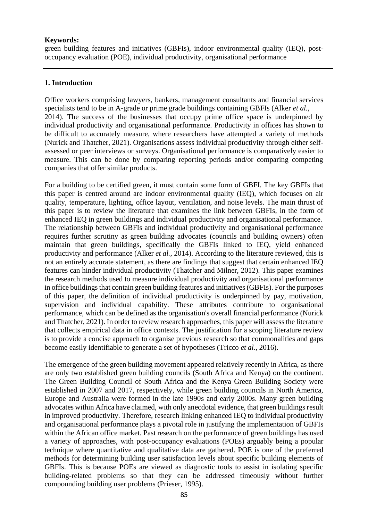#### **Keywords:**

green building features and initiatives (GBFIs), indoor environmental quality (IEQ), postoccupancy evaluation (POE), individual productivity, organisational performance

#### **1. Introduction**

Office workers comprising lawyers, bankers, management consultants and financial services specialists tend to be in A-grade or prime grade buildings containing GBFIs (Alker *et al.*, 2014). The success of the businesses that occupy prime office space is underpinned by individual productivity and organisational performance. Productivity in offices has shown to be difficult to accurately measure, where researchers have attempted a variety of methods (Nurick and Thatcher, 2021). Organisations assess individual productivity through either selfassessed or peer interviews or surveys. Organisational performance is comparatively easier to measure. This can be done by comparing reporting periods and/or comparing competing companies that offer similar products.

For a building to be certified green, it must contain some form of GBFI. The key GBFIs that this paper is centred around are indoor environmental quality (IEQ), which focuses on air quality, temperature, lighting, office layout, ventilation, and noise levels. The main thrust of this paper is to review the literature that examines the link between GBFIs, in the form of enhanced IEQ in green buildings and individual productivity and organisational performance. The relationship between GBFIs and individual productivity and organisational performance requires further scrutiny as green building advocates (councils and building owners) often maintain that green buildings, specifically the GBFIs linked to IEQ, yield enhanced productivity and performance (Alker *et al.*, 2014). According to the literature reviewed, this is not an entirely accurate statement, as there are findings that suggest that certain enhanced IEQ features can hinder individual productivity (Thatcher and Milner, 2012). This paper examines the research methods used to measure individual productivity and organisational performance in office buildings that contain green building features and initiatives (GBFIs). For the purposes of this paper, the definition of individual productivity is underpinned by pay, motivation, supervision and individual capability. These attributes contribute to organisational performance, which can be defined as the organisation's overall financial performance (Nurick and Thatcher, 2021). In order to review research approaches, this paper will assess the literature that collects empirical data in office contexts. The justification for a scoping literature review is to provide a concise approach to organise previous research so that commonalities and gaps become easily identifiable to generate a set of hypotheses (Tricco *et al.*, 2016).

The emergence of the green building movement appeared relatively recently in Africa, as there are only two established green building councils (South Africa and Kenya) on the continent. The Green Building Council of South Africa and the Kenya Green Building Society were established in 2007 and 2017, respectively, while green building councils in North America, Europe and Australia were formed in the late 1990s and early 2000s. Many green building advocates within Africa have claimed, with only anecdotal evidence, that green buildings result in improved productivity. Therefore, research linking enhanced IEQ to individual productivity and organisational performance plays a pivotal role in justifying the implementation of GBFIs within the African office market. Past research on the performance of green buildings has used a variety of approaches, with post-occupancy evaluations (POEs) arguably being a popular technique where quantitative and qualitative data are gathered. POE is one of the preferred methods for determining building user satisfaction levels about specific building elements of GBFIs. This is because POEs are viewed as diagnostic tools to assist in isolating specific building-related problems so that they can be addressed timeously without further compounding building user problems (Prieser, 1995).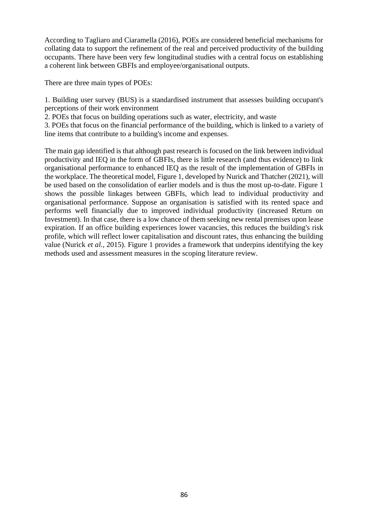According to Tagliaro and Ciaramella (2016), POEs are considered beneficial mechanisms for collating data to support the refinement of the real and perceived productivity of the building occupants. There have been very few longitudinal studies with a central focus on establishing a coherent link between GBFIs and employee/organisational outputs.

There are three main types of POEs:

1. Building user survey (BUS) is a standardised instrument that assesses building occupant's perceptions of their work environment

2. POEs that focus on building operations such as water, electricity, and waste

3. POEs that focus on the financial performance of the building, which is linked to a variety of line items that contribute to a building's income and expenses.

The main gap identified is that although past research is focused on the link between individual productivity and IEQ in the form of GBFIs, there is little research (and thus evidence) to link organisational performance to enhanced IEQ as the result of the implementation of GBFIs in the workplace. The theoretical model, Figure 1, developed by Nurick and Thatcher (2021), will be used based on the consolidation of earlier models and is thus the most up-to-date. Figure 1 shows the possible linkages between GBFIs, which lead to individual productivity and organisational performance. Suppose an organisation is satisfied with its rented space and performs well financially due to improved individual productivity (increased Return on Investment). In that case, there is a low chance of them seeking new rental premises upon lease expiration. If an office building experiences lower vacancies, this reduces the building's risk profile, which will reflect lower capitalisation and discount rates, thus enhancing the building value (Nurick *et al.*, 2015). Figure 1 provides a framework that underpins identifying the key methods used and assessment measures in the scoping literature review.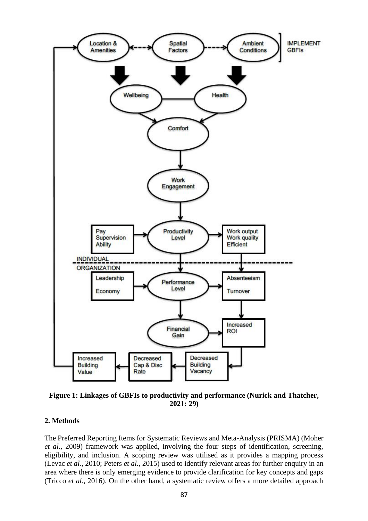

**Figure 1: Linkages of GBFIs to productivity and performance (Nurick and Thatcher, 2021: 29)**

#### **2. Methods**

The Preferred Reporting Items for Systematic Reviews and Meta-Analysis (PRISMA) (Moher *et al.*, 2009) framework was applied, involving the four steps of identification, screening, eligibility, and inclusion. A scoping review was utilised as it provides a mapping process (Levac *et al.*, 2010; Peters *et al.*, 2015) used to identify relevant areas for further enquiry in an area where there is only emerging evidence to provide clarification for key concepts and gaps (Tricco *et al.*, 2016). On the other hand, a systematic review offers a more detailed approach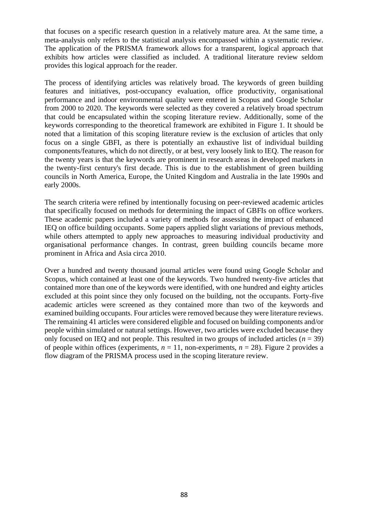that focuses on a specific research question in a relatively mature area. At the same time, a meta-analysis only refers to the statistical analysis encompassed within a systematic review. The application of the PRISMA framework allows for a transparent, logical approach that exhibits how articles were classified as included. A traditional literature review seldom provides this logical approach for the reader.

The process of identifying articles was relatively broad. The keywords of green building features and initiatives, post-occupancy evaluation, office productivity, organisational performance and indoor environmental quality were entered in Scopus and Google Scholar from 2000 to 2020. The keywords were selected as they covered a relatively broad spectrum that could be encapsulated within the scoping literature review. Additionally, some of the keywords corresponding to the theoretical framework are exhibited in Figure 1. It should be noted that a limitation of this scoping literature review is the exclusion of articles that only focus on a single GBFI, as there is potentially an exhaustive list of individual building components/features, which do not directly, or at best, very loosely link to IEQ. The reason for the twenty years is that the keywords are prominent in research areas in developed markets in the twenty-first century's first decade. This is due to the establishment of green building councils in North America, Europe, the United Kingdom and Australia in the late 1990s and early 2000s.

The search criteria were refined by intentionally focusing on peer-reviewed academic articles that specifically focused on methods for determining the impact of GBFIs on office workers. These academic papers included a variety of methods for assessing the impact of enhanced IEQ on office building occupants. Some papers applied slight variations of previous methods, while others attempted to apply new approaches to measuring individual productivity and organisational performance changes. In contrast, green building councils became more prominent in Africa and Asia circa 2010.

Over a hundred and twenty thousand journal articles were found using Google Scholar and Scopus, which contained at least one of the keywords. Two hundred twenty-five articles that contained more than one of the keywords were identified, with one hundred and eighty articles excluded at this point since they only focused on the building, not the occupants. Forty-five academic articles were screened as they contained more than two of the keywords and examined building occupants. Four articles were removed because they were literature reviews. The remaining 41 articles were considered eligible and focused on building components and/or people within simulated or natural settings. However, two articles were excluded because they only focused on IEQ and not people. This resulted in two groups of included articles  $(n = 39)$ of people within offices (experiments,  $n = 11$ , non-experiments,  $n = 28$ ). Figure 2 provides a flow diagram of the PRISMA process used in the scoping literature review.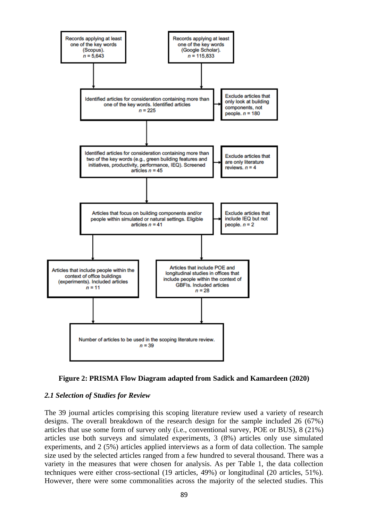



# *2.1 Selection of Studies for Review*

The 39 journal articles comprising this scoping literature review used a variety of research designs. The overall breakdown of the research design for the sample included 26 (67%) articles that use some form of survey only (i.e., conventional survey, POE or BUS), 8 (21%) articles use both surveys and simulated experiments, 3 (8%) articles only use simulated experiments, and 2 (5%) articles applied interviews as a form of data collection. The sample size used by the selected articles ranged from a few hundred to several thousand. There was a variety in the measures that were chosen for analysis. As per Table 1, the data collection techniques were either cross-sectional (19 articles, 49%) or longitudinal (20 articles, 51%). However, there were some commonalities across the majority of the selected studies. This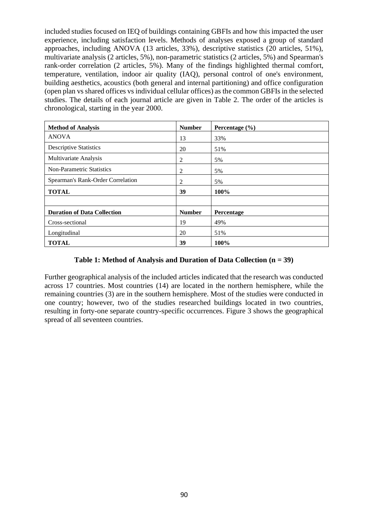included studies focused on IEQ of buildings containing GBFIs and how this impacted the user experience, including satisfaction levels. Methods of analyses exposed a group of standard approaches, including ANOVA (13 articles, 33%), descriptive statistics (20 articles, 51%), multivariate analysis (2 articles, 5%), non-parametric statistics (2 articles, 5%) and Spearman's rank-order correlation (2 articles, 5%). Many of the findings highlighted thermal comfort, temperature, ventilation, indoor air quality (IAQ), personal control of one's environment, building aesthetics, acoustics (both general and internal partitioning) and office configuration (open plan vs shared offices vs individual cellular offices) as the common GBFIs in the selected studies. The details of each journal article are given in Table 2. The order of the articles is chronological, starting in the year 2000.

| <b>Method of Analysis</b>          | <b>Number</b>  | Percentage $(\% )$ |
|------------------------------------|----------------|--------------------|
| <b>ANOVA</b>                       | 13             | 33%                |
| <b>Descriptive Statistics</b>      | 20             | 51%                |
| Multivariate Analysis              | 2              | 5%                 |
| <b>Non-Parametric Statistics</b>   | $\overline{c}$ | 5%                 |
| Spearman's Rank-Order Correlation  | $\overline{2}$ | 5%                 |
| <b>TOTAL</b>                       | 39             | 100%               |
|                                    |                |                    |
| <b>Duration of Data Collection</b> | <b>Number</b>  | Percentage         |
| Cross-sectional                    | 19             | 49%                |
| Longitudinal                       | 20             | 51%                |
| <b>TOTAL</b>                       | 39             | 100%               |

### **Table 1: Method of Analysis and Duration of Data Collection (n = 39)**

Further geographical analysis of the included articles indicated that the research was conducted across 17 countries. Most countries (14) are located in the northern hemisphere, while the remaining countries (3) are in the southern hemisphere. Most of the studies were conducted in one country; however, two of the studies researched buildings located in two countries, resulting in forty-one separate country-specific occurrences. Figure 3 shows the geographical spread of all seventeen countries.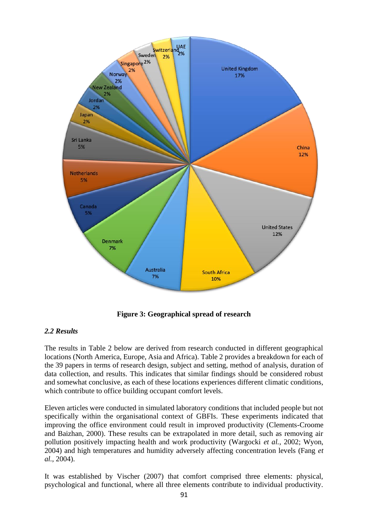

**Figure 3: Geographical spread of research**

# *2.2 Results*

The results in Table 2 below are derived from research conducted in different geographical locations (North America, Europe, Asia and Africa). Table 2 provides a breakdown for each of the 39 papers in terms of research design, subject and setting, method of analysis, duration of data collection, and results. This indicates that similar findings should be considered robust and somewhat conclusive, as each of these locations experiences different climatic conditions, which contribute to office building occupant comfort levels.

Eleven articles were conducted in simulated laboratory conditions that included people but not specifically within the organisational context of GBFIs. These experiments indicated that improving the office environment could result in improved productivity (Clements-Croome and Baizhan, 2000). These results can be extrapolated in more detail, such as removing air pollution positively impacting health and work productivity (Wargocki *et al.*, 2002; Wyon, 2004) and high temperatures and humidity adversely affecting concentration levels (Fang *et al.*, 2004).

It was established by Vischer (2007) that comfort comprised three elements: physical, psychological and functional, where all three elements contribute to individual productivity.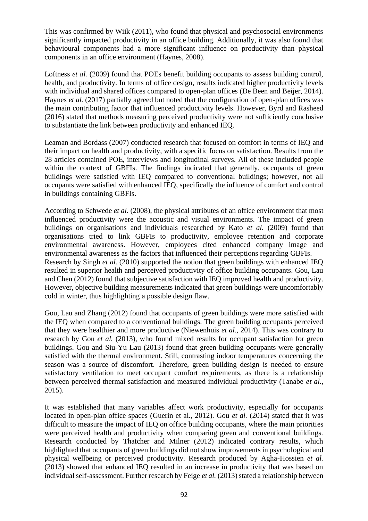This was confirmed by Wiik (2011), who found that physical and psychosocial environments significantly impacted productivity in an office building. Additionally, it was also found that behavioural components had a more significant influence on productivity than physical components in an office environment (Haynes, 2008).

Loftness *et al.* (2009) found that POEs benefit building occupants to assess building control, health, and productivity. In terms of office design, results indicated higher productivity levels with individual and shared offices compared to open-plan offices (De Been and Beijer, 2014). Haynes *et al.* (2017) partially agreed but noted that the configuration of open-plan offices was the main contributing factor that influenced productivity levels. However, Byrd and Rasheed (2016) stated that methods measuring perceived productivity were not sufficiently conclusive to substantiate the link between productivity and enhanced IEQ.

Leaman and Bordass (2007) conducted research that focused on comfort in terms of IEQ and their impact on health and productivity, with a specific focus on satisfaction. Results from the 28 articles contained POE, interviews and longitudinal surveys. All of these included people within the context of GBFIs. The findings indicated that generally, occupants of green buildings were satisfied with IEQ compared to conventional buildings; however, not all occupants were satisfied with enhanced IEQ, specifically the influence of comfort and control in buildings containing GBFIs.

According to Schwede *et al.* (2008), the physical attributes of an office environment that most influenced productivity were the acoustic and visual environments. The impact of green buildings on organisations and individuals researched by Kato *et al.* (2009) found that organisations tried to link GBFIs to productivity, employee retention and corporate environmental awareness. However, employees cited enhanced company image and environmental awareness as the factors that influenced their perceptions regarding GBFIs. Research by Singh *et al.* (2010) supported the notion that green buildings with enhanced IEQ resulted in superior health and perceived productivity of office building occupants. Gou, Lau and Chen (2012) found that subjective satisfaction with IEQ improved health and productivity. However, objective building measurements indicated that green buildings were uncomfortably cold in winter, thus highlighting a possible design flaw.

Gou, Lau and Zhang (2012) found that occupants of green buildings were more satisfied with the IEQ when compared to a conventional buildings. The green building occupants perceived that they were healthier and more productive (Niewenhuis *et al.*, 2014). This was contrary to research by Gou *et al.* (2013), who found mixed results for occupant satisfaction for green buildings. Gou and Siu-Yu Lau (2013) found that green building occupants were generally satisfied with the thermal environment. Still, contrasting indoor temperatures concerning the season was a source of discomfort. Therefore, green building design is needed to ensure satisfactory ventilation to meet occupant comfort requirements, as there is a relationship between perceived thermal satisfaction and measured individual productivity (Tanabe *et al.*, 2015).

It was established that many variables affect work productivity, especially for occupants located in open-plan office spaces (Guerin et al., 2012). Gou *et al.* (2014) stated that it was difficult to measure the impact of IEQ on office building occupants, where the main priorities were perceived health and productivity when comparing green and conventional buildings. Research conducted by Thatcher and Milner (2012) indicated contrary results, which highlighted that occupants of green buildings did not show improvements in psychological and physical wellbeing or perceived productivity. Research produced by Agha-Hossien *et al.* (2013) showed that enhanced IEQ resulted in an increase in productivity that was based on individual self-assessment. Further research by Feige *et al.* (2013) stated a relationship between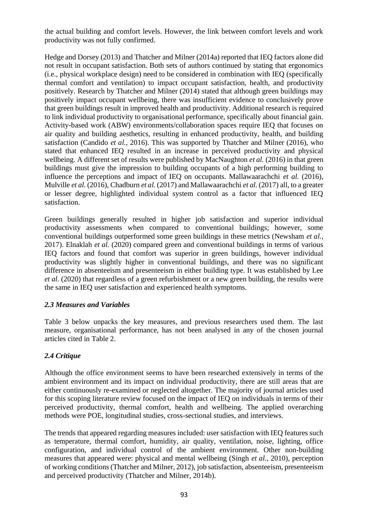the actual building and comfort levels. However, the link between comfort levels and work productivity was not fully confirmed.

Hedge and Dorsey (2013) and Thatcher and Milner (2014a) reported that IEQ factors alone did not result in occupant satisfaction. Both sets of authors continued by stating that ergonomics (i.e., physical workplace design) need to be considered in combination with IEQ (specifically thermal comfort and ventilation) to impact occupant satisfaction, health, and productivity positively. Research by Thatcher and Milner (2014) stated that although green buildings may positively impact occupant wellbeing, there was insufficient evidence to conclusively prove that green buildings result in improved health and productivity. Additional research is required to link individual productivity to organisational performance, specifically about financial gain. Activity-based work (ABW) environments/collaboration spaces require IEQ that focuses on air quality and building aesthetics, resulting in enhanced productivity, health, and building satisfaction (Candido *et al.*, 2016). This was supported by Thatcher and Milner (2016), who stated that enhanced IEQ resulted in an increase in perceived productivity and physical wellbeing. A different set of results were published by MacNaughton *et al.* (2016) in that green buildings must give the impression to building occupants of a high performing building to influence the perceptions and impact of IEQ on occupants. Mallawaarachchi *et al.* (2016), Mulville *et al.* (2016), Chadburn *et al.* (2017) and Mallawaarachchi *et al.* (2017) all, to a greater or lesser degree, highlighted individual system control as a factor that influenced IEQ satisfaction.

Green buildings generally resulted in higher job satisfaction and superior individual productivity assessments when compared to conventional buildings; however, some conventional buildings outperformed some green buildings in these metrics (Newsham *et al.*, 2017). Elnaklah *et al.* (2020) compared green and conventional buildings in terms of various IEQ factors and found that comfort was superior in green buildings, however individual productivity was slightly higher in conventional buildings, and there was no significant difference in absenteeism and presenteeism in either building type. It was established by Lee *et al.* (2020) that regardless of a green refurbishment or a new green building, the results were the same in IEQ user satisfaction and experienced health symptoms.

# *2.3 Measures and Variables*

Table 3 below unpacks the key measures, and previous researchers used them. The last measure, organisational performance, has not been analysed in any of the chosen journal articles cited in Table 2.

# *2.4 Critique*

Although the office environment seems to have been researched extensively in terms of the ambient environment and its impact on individual productivity, there are still areas that are either continuously re-examined or neglected altogether. The majority of journal articles used for this scoping literature review focused on the impact of IEQ on individuals in terms of their perceived productivity, thermal comfort, health and wellbeing. The applied overarching methods were POE, longitudinal studies, cross-sectional studies, and interviews.

The trends that appeared regarding measures included: user satisfaction with IEQ features such as temperature, thermal comfort, humidity, air quality, ventilation, noise, lighting, office configuration, and individual control of the ambient environment. Other non-building measures that appeared were: physical and mental wellbeing (Singh *et al.*, 2010), perception of working conditions (Thatcher and Milner, 2012), job satisfaction, absenteeism, presenteeism and perceived productivity (Thatcher and Milner, 2014b).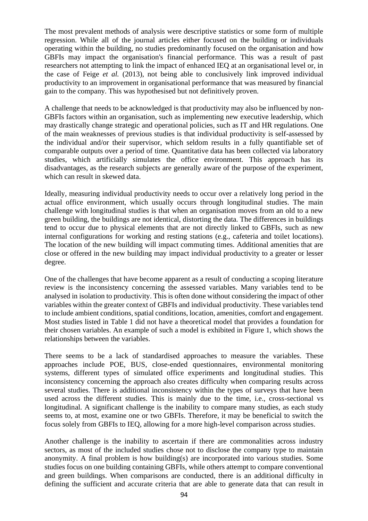The most prevalent methods of analysis were descriptive statistics or some form of multiple regression. While all of the journal articles either focused on the building or individuals operating within the building, no studies predominantly focused on the organisation and how GBFIs may impact the organisation's financial performance. This was a result of past researchers not attempting to link the impact of enhanced IEQ at an organisational level or, in the case of Feige *et al.* (2013), not being able to conclusively link improved individual productivity to an improvement in organisational performance that was measured by financial gain to the company. This was hypothesised but not definitively proven.

A challenge that needs to be acknowledged is that productivity may also be influenced by non-GBFIs factors within an organisation, such as implementing new executive leadership, which may drastically change strategic and operational policies, such as IT and HR regulations. One of the main weaknesses of previous studies is that individual productivity is self-assessed by the individual and/or their supervisor, which seldom results in a fully quantifiable set of comparable outputs over a period of time. Quantitative data has been collected via laboratory studies, which artificially simulates the office environment. This approach has its disadvantages, as the research subjects are generally aware of the purpose of the experiment, which can result in skewed data.

Ideally, measuring individual productivity needs to occur over a relatively long period in the actual office environment, which usually occurs through longitudinal studies. The main challenge with longitudinal studies is that when an organisation moves from an old to a new green building, the buildings are not identical, distorting the data. The differences in buildings tend to occur due to physical elements that are not directly linked to GBFIs, such as new internal configurations for working and resting stations (e.g., cafeteria and toilet locations). The location of the new building will impact commuting times. Additional amenities that are close or offered in the new building may impact individual productivity to a greater or lesser degree.

One of the challenges that have become apparent as a result of conducting a scoping literature review is the inconsistency concerning the assessed variables. Many variables tend to be analysed in isolation to productivity. This is often done without considering the impact of other variables within the greater context of GBFIs and individual productivity. These variables tend to include ambient conditions, spatial conditions, location, amenities, comfort and engagement. Most studies listed in Table 1 did not have a theoretical model that provides a foundation for their chosen variables. An example of such a model is exhibited in Figure 1, which shows the relationships between the variables.

There seems to be a lack of standardised approaches to measure the variables. These approaches include POE, BUS, close-ended questionnaires, environmental monitoring systems, different types of simulated office experiments and longitudinal studies. This inconsistency concerning the approach also creates difficulty when comparing results across several studies. There is additional inconsistency within the types of surveys that have been used across the different studies. This is mainly due to the time, i.e., cross-sectional vs longitudinal. A significant challenge is the inability to compare many studies, as each study seems to, at most, examine one or two GBFIs. Therefore, it may be beneficial to switch the focus solely from GBFIs to IEQ, allowing for a more high-level comparison across studies.

Another challenge is the inability to ascertain if there are commonalities across industry sectors, as most of the included studies chose not to disclose the company type to maintain anonymity. A final problem is how building(s) are incorporated into various studies. Some studies focus on one building containing GBFIs, while others attempt to compare conventional and green buildings. When comparisons are conducted, there is an additional difficulty in defining the sufficient and accurate criteria that are able to generate data that can result in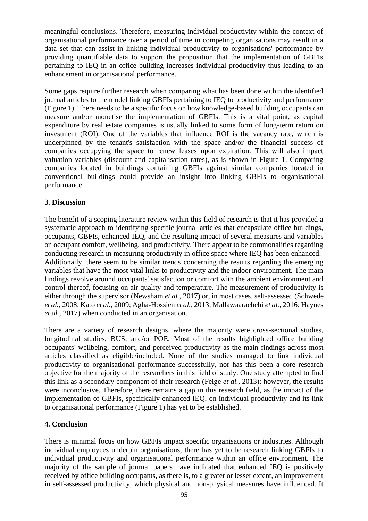meaningful conclusions. Therefore, measuring individual productivity within the context of organisational performance over a period of time in competing organisations may result in a data set that can assist in linking individual productivity to organisations' performance by providing quantifiable data to support the proposition that the implementation of GBFIs pertaining to IEQ in an office building increases individual productivity thus leading to an enhancement in organisational performance.

Some gaps require further research when comparing what has been done within the identified journal articles to the model linking GBFIs pertaining to IEQ to productivity and performance (Figure 1). There needs to be a specific focus on how knowledge-based building occupants can measure and/or monetise the implementation of GBFIs. This is a vital point, as capital expenditure by real estate companies is usually linked to some form of long-term return on investment (ROI). One of the variables that influence ROI is the vacancy rate, which is underpinned by the tenant's satisfaction with the space and/or the financial success of companies occupying the space to renew leases upon expiration. This will also impact valuation variables (discount and capitalisation rates), as is shown in Figure 1. Comparing companies located in buildings containing GBFIs against similar companies located in conventional buildings could provide an insight into linking GBFIs to organisational performance.

### **3. Discussion**

The benefit of a scoping literature review within this field of research is that it has provided a systematic approach to identifying specific journal articles that encapsulate office buildings, occupants, GBFIs, enhanced IEQ, and the resulting impact of several measures and variables on occupant comfort, wellbeing, and productivity. There appear to be commonalities regarding conducting research in measuring productivity in office space where IEQ has been enhanced. Additionally, there seem to be similar trends concerning the results regarding the emerging variables that have the most vital links to productivity and the indoor environment. The main findings revolve around occupants' satisfaction or comfort with the ambient environment and control thereof, focusing on air quality and temperature. The measurement of productivity is either through the supervisor (Newsham *et al.*, 2017) or, in most cases, self-assessed (Schwede *et al.*, 2008; Kato *et al.*, 2009; Agha-Hossien *et al.*, 2013; Mallawaarachchi *et al.*, 2016; Haynes *et al.*, 2017) when conducted in an organisation.

There are a variety of research designs, where the majority were cross-sectional studies, longitudinal studies, BUS, and/or POE. Most of the results highlighted office building occupants' wellbeing, comfort, and perceived productivity as the main findings across most articles classified as eligible/included. None of the studies managed to link individual productivity to organisational performance successfully, nor has this been a core research objective for the majority of the researchers in this field of study. One study attempted to find this link as a secondary component of their research (Feige *et al.*, 2013); however, the results were inconclusive. Therefore, there remains a gap in this research field, as the impact of the implementation of GBFIs, specifically enhanced IEQ, on individual productivity and its link to organisational performance (Figure 1) has yet to be established.

# **4. Conclusion**

There is minimal focus on how GBFIs impact specific organisations or industries. Although individual employees underpin organisations, there has yet to be research linking GBFIs to individual productivity and organisational performance within an office environment. The majority of the sample of journal papers have indicated that enhanced IEQ is positively received by office building occupants, as there is, to a greater or lesser extent, an improvement in self-assessed productivity, which physical and non-physical measures have influenced. It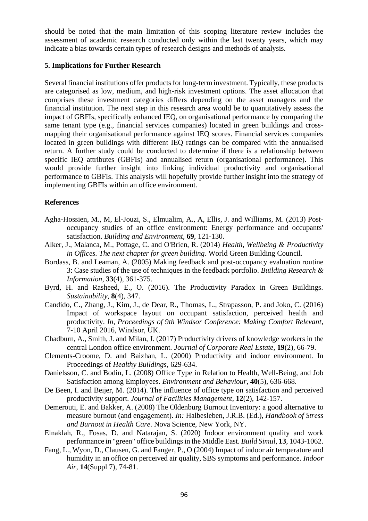should be noted that the main limitation of this scoping literature review includes the assessment of academic research conducted only within the last twenty years, which may indicate a bias towards certain types of research designs and methods of analysis.

### **5. Implications for Further Research**

Several financial institutions offer products for long-term investment. Typically, these products are categorised as low, medium, and high-risk investment options. The asset allocation that comprises these investment categories differs depending on the asset managers and the financial institution. The next step in this research area would be to quantitatively assess the impact of GBFIs, specifically enhanced IEQ, on organisational performance by comparing the same tenant type (e.g., financial services companies) located in green buildings and crossmapping their organisational performance against IEQ scores. Financial services companies located in green buildings with different IEQ ratings can be compared with the annualised return. A further study could be conducted to determine if there is a relationship between specific IEQ attributes (GBFIs) and annualised return (organisational performance). This would provide further insight into linking individual productivity and organisational performance to GBFIs. This analysis will hopefully provide further insight into the strategy of implementing GBFIs within an office environment.

### **References**

- Agha-Hossien, M., M, El-Jouzi, S., Elmualim, A., A, Ellis, J. and Williams, M. (2013) Postoccupancy studies of an office environment: Energy performance and occupants' satisfaction. *Building and Environment*, **69**, 121-130.
- Alker, J., Malanca, M., Pottage, C. and O'Brien, R. (2014) *Health, Wellbeing & Productivity in Offices. The next chapter for green building*. World Green Building Council.
- Bordass, B. and Leaman, A. (2005) Making feedback and post-occupancy evaluation routine 3: Case studies of the use of techniques in the feedback portfolio. *Building Research & Information*, **33**(4), 361-375.
- Byrd, H. and Rasheed, E., O. (2016). The Productivity Paradox in Green Buildings. *Sustainability*, **8**(4), 347.
- Candido, C., Zhang, J., Kim, J., de Dear, R., Thomas, L., Strapasson, P. and Joko, C. (2016) Impact of workspace layout on occupant satisfaction, perceived health and productivity. *In*, *Proceedings of 9th Windsor Conference: Making Comfort Relevant*, 7-10 April 2016, Windsor, UK.
- Chadburn, A., Smith, J. and Milan, J. (2017) Productivity drivers of knowledge workers in the central London office environment. *Journal of Corporate Real Estate*, **19**(2), 66-79.
- Clements-Croome, D. and Baizhan, L. (2000) Productivity and indoor environment. In Proceedings of *Healthy Buildings*, 629-634.
- Danielsson, C. and Bodin, L. (2008) Office Type in Relation to Health, Well-Being, and Job Satisfaction among Employees. *Environment and Behaviour*, **40**(5), 636-668.
- De Been, I. and Beijer, M. (2014). The influence of office type on satisfaction and perceived productivity support. *Journal of Facilities Management*, **12**(2), 142-157.
- Demerouti, E. and Bakker, A. (2008) The Oldenburg Burnout Inventory: a good alternative to measure burnout (and engagement). *In:* Halbesleben, J.R.B. (Ed.), *Handbook of Stress and Burnout in Health Care*. Nova Science, New York, NY.
- Elnaklah, R., Fosas, D. and Natarajan, S. (2020) Indoor environment quality and work performance in "green" office buildings in the Middle East. *Build Simul*, **13**, 1043-1062.
- Fang, L., Wyon, D., Clausen, G. and Fanger, P., O (2004) Impact of indoor air temperature and humidity in an office on perceived air quality, SBS symptoms and performance. *Indoor Air*, **14**(Suppl 7), 74-81.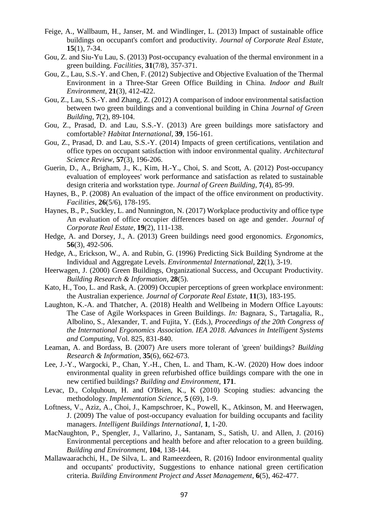- Feige, A., Wallbaum, H., Janser, M. and Windlinger, L. (2013) Impact of sustainable office buildings on occupant's comfort and productivity. *Journal of Corporate Real Estate*, **15**(1), 7-34.
- Gou, Z. and Siu-Yu Lau, S. (2013) Post-occupancy evaluation of the thermal environment in a green building. *Facilities*, **31**(7/8), 357-371.
- Gou, Z., Lau, S.S.-Y. and Chen, F. (2012) Subjective and Objective Evaluation of the Thermal Environment in a Three-Star Green Office Building in China. *Indoor and Built Environment*, **21**(3), 412-422.
- Gou, Z., Lau, S.S.-Y. and Zhang, Z. (2012) A comparison of indoor environmental satisfaction between two green buildings and a conventional building in China *Journal of Green Building*, **7**(2), 89-104.
- Gou, Z., Prasad, D. and Lau, S.S.-Y. (2013) Are green buildings more satisfactory and comfortable? *Habitat International*, **39**, 156-161.
- Gou, Z., Prasad, D. and Lau, S.S.-Y. (2014) Impacts of green certifications, ventilation and office types on occupant satisfaction with indoor environmental quality. *Architectural Science Review*, **57**(3), 196-206.
- Guerin, D., A., Brigham, J., K., Kim, H.-Y., Choi, S. and Scott, A. (2012) Post-occupancy evaluation of employees' work performance and satisfaction as related to sustainable design criteria and workstation type. *Journal of Green Building*, **7**(4), 85-99.
- Haynes, B., P. (2008) An evaluation of the impact of the office environment on productivity. *Facilities*, **26**(5/6), 178-195.
- Haynes, B., P., Suckley, L. and Nunnington, N. (2017) Workplace productivity and office type An evaluation of office occupier differences based on age and gender. *Journal of Corporate Real Estate*, **19**(2), 111-138.
- Hedge, A. and Dorsey, J., A. (2013) Green buildings need good ergonomics. *Ergonomics*, **56**(3), 492-506.
- Hedge, A., Erickson, W., A. and Rubin, G. (1996) Predicting Sick Building Syndrome at the Individual and Aggregate Levels. *Environmental International*, **22**(1), 3-19.
- Heerwagen, J. (2000) Green Buildings, Organizational Success, and Occupant Productivity. *Building Research & Information*, **28**(5).
- Kato, H., Too, L. and Rask, A. (2009) Occupier perceptions of green workplace environment: the Australian experience. *Journal of Corporate Real Estate*, **11**(3), 183-195.
- Laughton, K.-A. and Thatcher, A. (2018) Health and Wellbeing in Modern Office Layouts: The Case of Agile Workspaces in Green Buildings. *In:* Bagnara, S., Tartagalia, R., Albolino, S., Alexander, T. and Fujita, Y. (Eds.), *Proceedings of the 20th Congress of the International Ergonomics Association. IEA 2018. Advances in Intelligent Systems and Computing*, Vol. 825, 831-840.
- Leaman, A. and Bordass, B. (2007) Are users more tolerant of 'green' buildings? *Building Research & Information*, **35**(6), 662-673.
- Lee, J.-Y., Wargocki, P., Chan, Y.-H., Chen, L. and Tham, K.-W. (2020) How does indoor environmental quality in green refurbished office buildings compare with the one in new certified buildings? *Building and Environment*, **171**.
- Levac, D., Colquhoun, H. and O'Brien, K., K (2010) Scoping studies: advancing the methodology. *Implementation Science*, **5** (69), 1-9.
- Loftness, V., Aziz, A., Choi, J., Kampschroer, K., Powell, K., Atkinson, M. and Heerwagen, J. (2009) The value of post-occupancy evaluation for building occupants and facility managers. *Intelligent Buildings International*, **1**, 1-20.
- MacNaughton, P., Spengler, J., Vallarino, J., Santanam, S., Satish, U. and Allen, J. (2016) Environmental perceptions and health before and after relocation to a green building. *Building and Environment*, **104**, 138-144.
- Mallawaarachchi, H., De Silva, L. and Rameezdeen, R. (2016) Indoor environmental quality and occupants' productivity, Suggestions to enhance national green certification criteria. *Building Environment Project and Asset Management*, **6**(5), 462-477.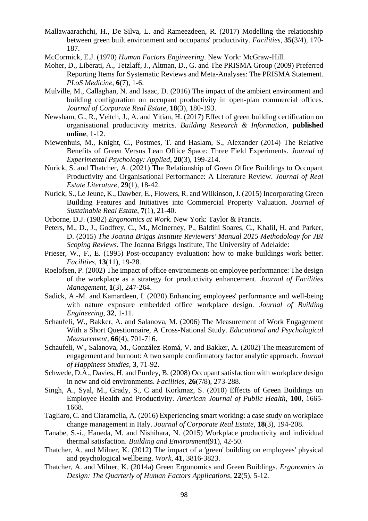- Mallawaarachchi, H., De Silva, L. and Rameezdeen, R. (2017) Modelling the relationship between green built environment and occupants' productivity. *Facilities*, **35**(3/4), 170- 187.
- McCormick, E.J. (1970) *Human Factors Engineering*. New York: McGraw-Hill.
- Moher, D., Liberati, A., Tetzlaff, J., Altman, D., G. and The PRISMA Group (2009) Preferred Reporting Items for Systematic Reviews and Meta-Analyses: The PRISMA Statement. *PLoS Medicine*, **6**(7), 1-6.
- Mulville, M., Callaghan, N. and Isaac, D. (2016) The impact of the ambient environment and building configuration on occupant productivity in open-plan commercial offices. *Journal of Corporate Real Estate*, **18**(3), 180-193.
- Newsham, G., R., Veitch, J., A. and Yitian, H. (2017) Effect of green building certification on organisational productivity metrics. *Building Research & Information*, **published online**, 1-12.
- Niewenhuis, M., Knight, C., Postmes, T. and Haslam, S., Alexander (2014) The Relative Benefits of Green Versus Lean Office Space: Three Field Experiments. *Journal of Experimental Psychology: Applied*, **20**(3), 199-214.
- Nurick, S. and Thatcher, A. (2021) The Relationship of Green Office Buildings to Occupant Productivity and Organisational Performance: A Literature Review. *Journal of Real Estate Literature*, **29**(1), 18-42.
- Nurick, S., Le Jeune, K., Dawber, E., Flowers, R. and Wilkinson, J. (2015) Incorporating Green Building Features and Initiatives into Commercial Property Valuation. *Journal of Sustainable Real Estate*, **7**(1), 21-40.
- Orborne, D.J. (1982) *Ergonomics at Work*. New York: Taylor & Francis.
- Peters, M., D., J., Godfrey, C., M., McInerney, P., Baldini Soares, C., Khalil, H. and Parker, D. (2015) *The Joanna Briggs Institute Reviewers' Manual 2015 Methodology for JBI Scoping Reviews*. The Joanna Briggs Institute, The University of Adelaide:
- Prieser, W., F., E. (1995) Post-occupancy evaluation: how to make buildings work better. *Facilities*, **13**(11), 19-28.
- Roelofsen, P. (2002) The impact of office environments on employee performance: The design of the workplace as a strategy for productivity enhancement. *Journal of Facilities Management*, **1**(3), 247-264.
- Sadick, A.-M. and Kamardeen, I. (2020) Enhancing employees' performance and well-being with nature exposure embedded office workplace design. *Journal of Building Engineering*, **32**, 1-11.
- Schaufeli, W., Bakker, A. and Salanova, M. (2006) The Measurement of Work Engagement With a Short Questionnaire, A Cross-National Study. *Educational and Psychological Measurement*, **66**(4), 701-716.
- Schaufeli, W., Salanova, M., González-Romá, V. and Bakker, A. (2002) The measurement of engagement and burnout: A two sample confirmatory factor analytic approach. *Journal of Happiness Studies*, **3**, 71-92.
- Schwede, D.A., Davies, H. and Purdey, B. (2008) Occupant satisfaction with workplace design in new and old environments. *Facilities*, **26**(7/8), 273-288.
- Singh, A., Syal, M., Grady, S., C and Korkmaz, S. (2010) Effects of Green Buildings on Employee Health and Productivity. *American Journal of Public Health*, **100**, 1665- 1668.
- Tagliaro, C. and Ciaramella, A. (2016) Experiencing smart working: a case study on workplace change management in Italy. *Journal of Corporate Real Estate*, **18**(3), 194-208.
- Tanabe, S.-i., Haneda, M. and Nishihara, N. (2015) Workplace productivity and individual thermal satisfaction. *Building and Environment*(91), 42-50.
- Thatcher, A. and Milner, K. (2012) The impact of a 'green' building on employees' physical and psychological wellbeing. *Work*, **41**, 3816-3823.
- Thatcher, A. and Milner, K. (2014a) Green Ergonomics and Green Buildings. *Ergonomics in Design: The Quarterly of Human Factors Applications*, **22**(5), 5-12.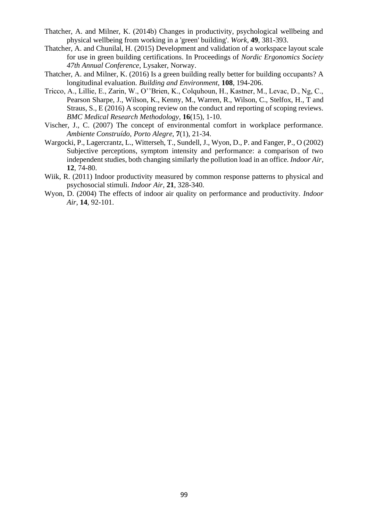- Thatcher, A. and Milner, K. (2014b) Changes in productivity, psychological wellbeing and physical wellbeing from working in a 'green' building'. *Work*, **49**, 381-393.
- Thatcher, A. and Chunilal, H. (2015) Development and validation of a workspace layout scale for use in green building certifications. In Proceedings of *Nordic Ergonomics Society 47th Annual Conference*, Lysaker, Norway.
- Thatcher, A. and Milner, K. (2016) Is a green building really better for building occupants? A longitudinal evaluation. *Building and Environment*, **108**, 194-206.
- Tricco, A., Lillie, E., Zarin, W., O''Brien, K., Colquhoun, H., Kastner, M., Levac, D., Ng, C., Pearson Sharpe, J., Wilson, K., Kenny, M., Warren, R., Wilson, C., Stelfox, H., T and Straus, S., E (2016) A scoping review on the conduct and reporting of scoping reviews. *BMC Medical Research Methodology*, **16**(15), 1-10.
- Vischer, J., C. (2007) The concept of environmental comfort in workplace performance. *Ambiente Construído, Porto Alegre*, **7**(1), 21-34.
- Wargocki, P., Lagercrantz, L., Witterseh, T., Sundell, J., Wyon, D., P. and Fanger, P., O (2002) Subjective perceptions, symptom intensity and performance: a comparison of two independent studies, both changing similarly the pollution load in an office. *Indoor Air*, **12**, 74-80.
- Wiik, R. (2011) Indoor productivity measured by common response patterns to physical and psychosocial stimuli. *Indoor Air*, **21**, 328-340.
- Wyon, D. (2004) The effects of indoor air quality on performance and productivity. *Indoor Air*, **14**, 92-101.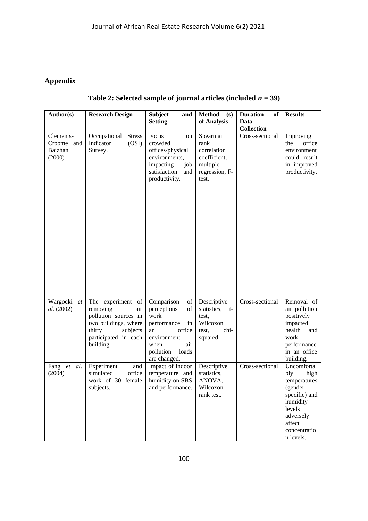# **Appendix**

| Author(s)             | <b>Research Design</b>                   | <b>Subject</b><br>and               | <b>Method</b><br>(s)       | <b>Duration</b><br>of | <b>Results</b>            |
|-----------------------|------------------------------------------|-------------------------------------|----------------------------|-----------------------|---------------------------|
|                       |                                          | <b>Setting</b>                      | of Analysis                | Data                  |                           |
|                       |                                          |                                     |                            | <b>Collection</b>     |                           |
| Clements-             | Occupational<br><b>Stress</b>            | Focus<br>on                         | Spearman                   | Cross-sectional       | Improving                 |
| Croome<br>and         | Indicator<br>(OSI)                       | crowded                             | rank                       |                       | the<br>office             |
| Baizhan               | Survey.                                  | offices/physical                    | correlation                |                       | environment               |
| (2000)                |                                          | environments,                       | coefficient,               |                       | could result              |
|                       |                                          | impacting<br>job                    | multiple                   |                       | in improved               |
|                       |                                          | satisfaction<br>and                 | regression, F-             |                       | productivity.             |
|                       |                                          | productivity.                       | test.                      |                       |                           |
|                       |                                          |                                     |                            |                       |                           |
|                       |                                          |                                     |                            |                       |                           |
|                       |                                          |                                     |                            |                       |                           |
|                       |                                          |                                     |                            |                       |                           |
|                       |                                          |                                     |                            |                       |                           |
|                       |                                          |                                     |                            |                       |                           |
|                       |                                          |                                     |                            |                       |                           |
|                       |                                          |                                     |                            |                       |                           |
|                       |                                          |                                     |                            |                       |                           |
|                       |                                          |                                     |                            |                       |                           |
|                       |                                          |                                     |                            |                       |                           |
|                       |                                          |                                     |                            |                       |                           |
|                       |                                          |                                     |                            |                       |                           |
|                       |                                          |                                     |                            |                       |                           |
|                       |                                          |                                     |                            |                       |                           |
| Wargocki<br>et        | The experiment of                        | Comparison<br>of                    | Descriptive                | Cross-sectional       | Removal of                |
| al. (2002)            | removing<br>air                          | perceptions<br>of                   | statistics, t-             |                       | air pollution             |
|                       | pollution sources in                     | work                                | test,                      |                       | positively                |
|                       | two buildings, where                     | performance<br>in                   | Wilcoxon                   |                       | impacted                  |
|                       | thirty<br>subjects                       | office<br>an                        | chi-<br>test,              |                       | health<br>and             |
|                       | participated in each                     | environment                         | squared.                   |                       | work                      |
|                       | building.                                | when<br>air                         |                            |                       | performance               |
|                       |                                          | pollution<br>loads                  |                            |                       | in an office              |
|                       |                                          | are changed.                        |                            | Cross-sectional       | building.                 |
| Fang et al.<br>(2004) | Experiment<br>and<br>office<br>simulated | Impact of indoor<br>temperature and | Descriptive<br>statistics, |                       | Uncomforta<br>bly<br>high |
|                       | work of 30 female                        | humidity on SBS                     | ANOVA,                     |                       | temperatures              |
|                       | subjects.                                | and performance.                    | Wilcoxon                   |                       | (gender-                  |
|                       |                                          |                                     | rank test.                 |                       | specific) and             |
|                       |                                          |                                     |                            |                       | humidity                  |
|                       |                                          |                                     |                            |                       | levels                    |
|                       |                                          |                                     |                            |                       | adversely                 |
|                       |                                          |                                     |                            |                       | affect                    |
|                       |                                          |                                     |                            |                       | concentratio              |
|                       |                                          |                                     |                            |                       | n levels.                 |

**Table 2: Selected sample of journal articles (included** *n* **= 39)**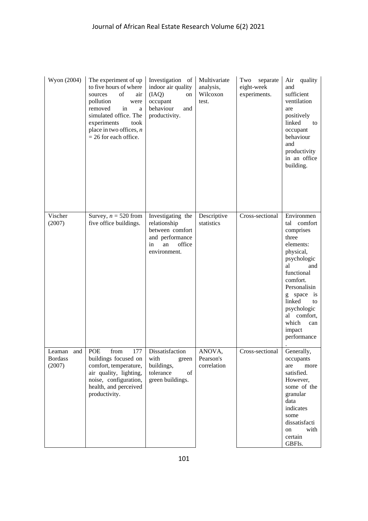| Wyon (2004)                                | The experiment of up<br>to five hours of where<br>of<br>sources<br>air<br>pollution<br>were<br>removed<br>in<br>a<br>simulated office. The<br>experiments<br>took<br>place in two offices, $n$<br>$= 26$ for each office. | Investigation of<br>indoor air quality<br>(IAQ)<br>on<br>occupant<br>behaviour<br>and<br>productivity.        | Multivariate<br>analysis,<br>Wilcoxon<br>test. | separate<br>Two<br>eight-week<br>experiments. | Air quality<br>and<br>sufficient<br>ventilation<br>are<br>positively<br>linked<br>to<br>occupant<br>behaviour<br>and<br>productivity<br>in an office<br>building.                                                                                             |
|--------------------------------------------|---------------------------------------------------------------------------------------------------------------------------------------------------------------------------------------------------------------------------|---------------------------------------------------------------------------------------------------------------|------------------------------------------------|-----------------------------------------------|---------------------------------------------------------------------------------------------------------------------------------------------------------------------------------------------------------------------------------------------------------------|
| Vischer<br>(2007)                          | Survey, $n = 520$ from<br>five office buildings.                                                                                                                                                                          | Investigating the<br>relationship<br>between comfort<br>and performance<br>office<br>an<br>in<br>environment. | Descriptive<br>statistics                      | Cross-sectional                               | Environmen<br>tal<br>comfort<br>comprises<br>three<br>elements:<br>physical,<br>psychologic<br>al<br>and<br>functional<br>comfort.<br>Personalisin<br>space<br>1S<br>g<br>linked<br>to<br>psychologic<br>al comfort,<br>which<br>can<br>impact<br>performance |
| Leaman and POE<br><b>Bordass</b><br>(2007) | from<br>buildings focused on<br>comfort, temperature,<br>air quality, lighting,<br>noise, configuration,<br>health, and perceived<br>productivity.                                                                        | 177   Dissatisfaction<br>with<br>green<br>buildings,<br>tolerance<br>of<br>green buildings.                   | ANOVA,<br>Pearson's<br>correlation             | Cross-sectional                               | Generally,<br>occupants<br>are<br>more<br>satisfied.<br>However,<br>some of the<br>granular<br>data<br>indicates<br>some<br>dissatisfacti<br>with<br>on<br>certain<br>GBFIs.                                                                                  |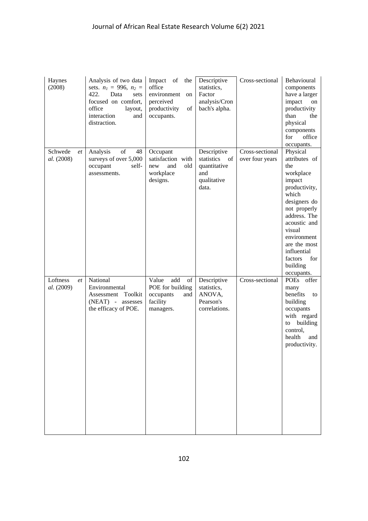| Haynes<br>(2008)             | Analysis of two data<br>sets. $n_1 = 996$ , $n_2 =$<br>422.<br>Data<br>sets<br>focused on comfort,<br>office<br>layout,<br>interaction<br>and<br>distraction. | Impact of the<br>office<br>environment<br>on<br>perceived<br>productivity<br>of<br>occupants. | Descriptive<br>statistics,<br>Factor<br>analysis/Cron<br>bach's alpha.           | Cross-sectional                    | Behavioural<br>components<br>have a larger<br>impact<br>on<br>productivity<br>than<br>the<br>physical<br>components<br>office<br>for<br>occupants.                                                                                                    |
|------------------------------|---------------------------------------------------------------------------------------------------------------------------------------------------------------|-----------------------------------------------------------------------------------------------|----------------------------------------------------------------------------------|------------------------------------|-------------------------------------------------------------------------------------------------------------------------------------------------------------------------------------------------------------------------------------------------------|
| Schwede<br>et<br>al. (2008)  | of<br>48<br>Analysis<br>surveys of over 5,000<br>occupant<br>self-<br>assessments.                                                                            | Occupant<br>satisfaction with<br>old<br>and<br>new<br>workplace<br>designs.                   | Descriptive<br>statistics<br>- of<br>quantitative<br>and<br>qualitative<br>data. | Cross-sectional<br>over four years | Physical<br>attributes of<br>the<br>workplace<br>impact<br>productivity,<br>which<br>designers do<br>not properly<br>address. The<br>acoustic and<br>visual<br>environment<br>are the most<br>influential<br>factors<br>for<br>building<br>occupants. |
| Loftness<br>et<br>al. (2009) | National<br>Environmental<br>Assessment Toolkit<br>(NEAT) - assesses<br>the efficacy of POE.                                                                  | Value<br>add<br>of<br>POE for building<br>occupants<br>and<br>facility<br>managers.           | Descriptive<br>statistics,<br>ANOVA,<br>Pearson's<br>correlations.               | Cross-sectional                    | POEs<br>offer<br>many<br>benefits<br>to<br>building<br>occupants<br>with regard<br>to building<br>control,<br>health<br>and<br>productivity.                                                                                                          |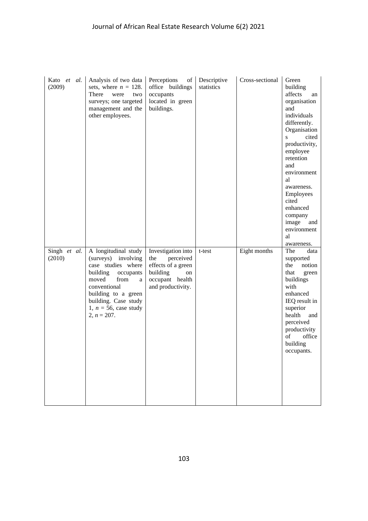| Kato et al.<br>(2009)  | Analysis of two data<br>sets, where $n = 128$ .<br>There<br>were<br>two<br>surveys; one targeted<br>management and the<br>other employees.                                                                                   | Perceptions<br>of<br>office buildings<br>occupants<br>located in green<br>buildings.                                   | Descriptive<br>statistics | Cross-sectional | Green<br>building<br>affects<br>an<br>organisation<br>and<br>individuals<br>differently.<br>Organisation<br>cited<br>S<br>productivity,<br>employee<br>retention<br>and<br>environment<br>al<br>awareness.<br>Employees<br>cited<br>enhanced<br>company<br>image<br>and<br>environment<br>al<br>awareness. |
|------------------------|------------------------------------------------------------------------------------------------------------------------------------------------------------------------------------------------------------------------------|------------------------------------------------------------------------------------------------------------------------|---------------------------|-----------------|------------------------------------------------------------------------------------------------------------------------------------------------------------------------------------------------------------------------------------------------------------------------------------------------------------|
| Singh et al.<br>(2010) | A longitudinal study<br>(surveys) involving<br>case studies where<br>building<br>occupants<br>moved<br>from<br>a<br>conventional<br>building to a green<br>building. Case study<br>1, $n = 56$ , case study<br>$2, n = 207.$ | Investigation into<br>perceived<br>the<br>effects of a green<br>building<br>on<br>occupant health<br>and productivity. | t-test                    | Eight months    | The<br>data<br>supported<br>the<br>notion<br>that<br>green<br>buildings<br>with<br>enhanced<br>IEQ result in<br>superior<br>health<br>and<br>perceived<br>productivity<br>office<br>of<br>building<br>occupants.                                                                                           |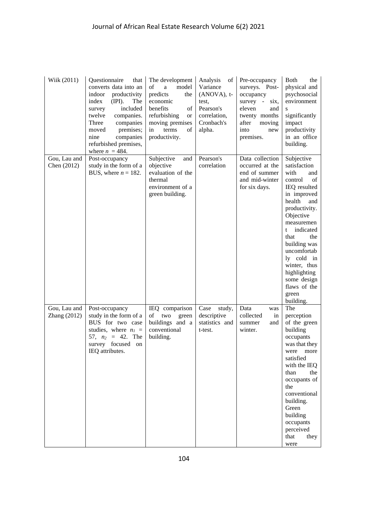| Wiik (2011)                  | Questionnaire<br>that<br>converts data into an<br>indoor<br>productivity<br>(IPI).<br>index<br>The<br>included<br>survey<br>twelve<br>companies.<br>Three<br>companies<br>premises;<br>moved<br>companies<br>nine<br>refurbished premises,<br>where $n = 484$ . | The development<br>of<br>model<br>$\mathbf{a}$<br>predicts<br>the<br>economic<br>benefits<br>of<br>refurbishing<br><b>or</b><br>moving premises<br>terms<br>in<br>of<br>productivity. | Analysis<br>of<br>Variance<br>(ANOVA), t-<br>test,<br>Pearson's<br>correlation,<br>Cronbach's<br>alpha. | Pre-occupancy<br>surveys. Post-<br>occupancy<br>survey -<br>six.<br>eleven<br>and<br>twenty months<br>after<br>moving<br>into<br>new<br>premises. | <b>Both</b><br>the<br>physical and<br>psychosocial<br>environment<br>S<br>significantly<br>impact<br>productivity<br>in an office<br>building.                                                                                                                                                                            |
|------------------------------|-----------------------------------------------------------------------------------------------------------------------------------------------------------------------------------------------------------------------------------------------------------------|---------------------------------------------------------------------------------------------------------------------------------------------------------------------------------------|---------------------------------------------------------------------------------------------------------|---------------------------------------------------------------------------------------------------------------------------------------------------|---------------------------------------------------------------------------------------------------------------------------------------------------------------------------------------------------------------------------------------------------------------------------------------------------------------------------|
| Gou, Lau and<br>Chen (2012)  | Post-occupancy<br>study in the form of a<br>BUS, where $n = 182$ .                                                                                                                                                                                              | Subjective<br>and<br>objective<br>evaluation of the<br>thermal<br>environment of a<br>green building.                                                                                 | Pearson's<br>correlation                                                                                | Data collection<br>occurred at the<br>end of summer<br>and mid-winter<br>for six days.                                                            | Subjective<br>satisfaction<br>with<br>and<br>control<br>of<br>IEQ resulted<br>in improved<br>health<br>and<br>productivity.<br>Objective<br>measuremen<br>indicated<br>t<br>that<br>the<br>building was<br>uncomfortab<br>ly cold in<br>winter, thus<br>highlighting<br>some design<br>flaws of the<br>green<br>building. |
| Gou, Lau and<br>Zhang (2012) | Post-occupancy<br>study in the form of a<br>BUS for two case<br>studies, where $n_1$ =<br>57, $n_2 = 42$ . The<br>survey focused<br>on<br>IEQ attributes.                                                                                                       | IEQ comparison<br>two green<br>of<br>buildings and a<br>conventional<br>building.                                                                                                     | Case<br>study,<br>descriptive<br>statistics and<br>t-test.                                              | Data<br>was<br>collected<br>in<br>summer<br>and<br>winter.                                                                                        | The<br>perception<br>of the green<br>building<br>occupants<br>was that they<br>were<br>more<br>satisfied<br>with the IEQ<br>than<br>the<br>occupants of<br>the<br>conventional<br>building.<br>Green<br>building<br>occupants<br>perceived<br>that<br>they<br>were                                                        |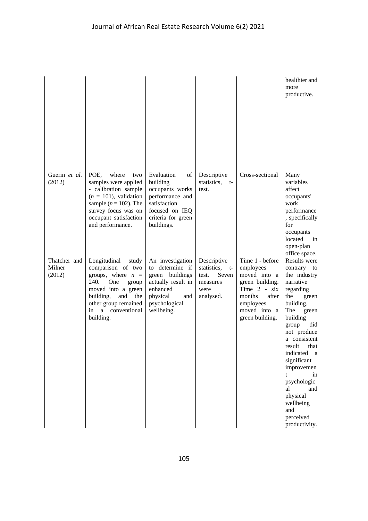|                                  |                                                                                                                                                                                                         |                                                                                                                                               |                                                                                       |                                                                                                                                                    | healthier and<br>more<br>productive.                                                                                                                                                                                                                                                                                                                |
|----------------------------------|---------------------------------------------------------------------------------------------------------------------------------------------------------------------------------------------------------|-----------------------------------------------------------------------------------------------------------------------------------------------|---------------------------------------------------------------------------------------|----------------------------------------------------------------------------------------------------------------------------------------------------|-----------------------------------------------------------------------------------------------------------------------------------------------------------------------------------------------------------------------------------------------------------------------------------------------------------------------------------------------------|
| Guerin et al.<br>(2012)          | POE,<br>where<br>two<br>samples were applied<br>- calibration sample<br>$(n = 101)$ , validation<br>sample ( $n = 102$ ). The<br>survey focus was on<br>occupant satisfaction<br>and performance.       | Evaluation<br>of<br>building<br>occupants works<br>performance and<br>satisfaction<br>focused on IEQ<br>criteria for green<br>buildings.      | Descriptive<br>statistics, t-<br>test.                                                | Cross-sectional                                                                                                                                    | Many<br>variables<br>affect<br>occupants'<br>work<br>performance<br>, specifically<br>for<br>occupants<br>located<br>in<br>open-plan<br>office space.                                                                                                                                                                                               |
| Thatcher and<br>Milner<br>(2012) | Longitudinal<br>study<br>comparison of two<br>groups, where $n =$<br>240.<br>One<br>group<br>moved into a green<br>building,<br>and<br>the<br>other group remained<br>a conventional<br>in<br>building. | An investigation<br>determine if<br>to<br>green buildings<br>actually result in<br>enhanced<br>physical<br>and<br>psychological<br>wellbeing. | Descriptive<br>statistics,<br>$t-$<br>Seven<br>test.<br>measures<br>were<br>analysed. | Time 1 - before<br>employees<br>moved into a<br>green building.<br>Time 2 - six<br>after<br>months<br>employees<br>moved into a<br>green building. | Results were<br>contrary to<br>the industry<br>narrative<br>regarding<br>the<br>green<br>building.<br>The<br>green<br>building<br>did<br>group<br>not produce<br>a consistent<br>result<br>that<br>indicated<br>a<br>significant<br>improvemen<br>t<br>in<br>psychologic<br>al<br>and<br>physical<br>wellbeing<br>and<br>perceived<br>productivity. |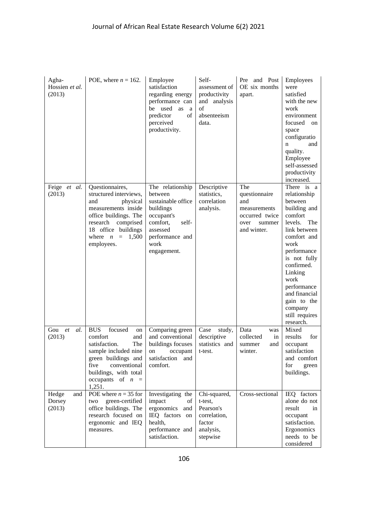| Agha-<br>Hossien et al.<br>(2013) | POE, where $n = 162$ .                                                                                                                                                                                | Employee<br>satisfaction<br>regarding energy<br>performance can<br>be used<br>as<br>a<br>of<br>predictor<br>perceived<br>productivity.                  | Self-<br>assessment of<br>productivity<br>and analysis<br>of<br>absenteeism<br>data.    | Pre and Post<br>OE six months<br>apart.                                                        | Employees<br>were<br>satisfied<br>with the new<br>work<br>environment<br>focused<br>on<br>space<br>configuratio<br>and<br>n<br>quality.<br>Employee<br>self-assessed<br>productivity<br>increased.                                                                                 |
|-----------------------------------|-------------------------------------------------------------------------------------------------------------------------------------------------------------------------------------------------------|---------------------------------------------------------------------------------------------------------------------------------------------------------|-----------------------------------------------------------------------------------------|------------------------------------------------------------------------------------------------|------------------------------------------------------------------------------------------------------------------------------------------------------------------------------------------------------------------------------------------------------------------------------------|
| Feige et al.<br>(2013)            | Questionnaires,<br>structured interviews,<br>and<br>physical<br>measurements inside<br>office buildings. The<br>research comprised<br>18 office buildings<br>where $n = 1,500$<br>employees.          | The relationship<br>between<br>sustainable office<br>buildings<br>occupant's<br>comfort,<br>self-<br>assessed<br>performance and<br>work<br>engagement. | Descriptive<br>statistics,<br>correlation<br>analysis.                                  | The<br>questionnaire<br>and<br>measurements<br>occurred twice<br>over<br>summer<br>and winter. | There is a<br>relationship<br>between<br>building and<br>comfort<br>levels.<br>The<br>link between<br>comfort and<br>work<br>performance<br>is not fully<br>confirmed.<br>Linking<br>work<br>performance<br>and financial<br>gain to the<br>company<br>still requires<br>research. |
| Gou<br><i>et</i><br>al.<br>(2013) | focused<br><b>BUS</b><br>on<br>comfort<br>and<br>satisfaction.<br>The<br>sample included nine<br>green buildings and<br>five<br>conventional<br>buildings, with total<br>occupants of $n =$<br>1,251. | Comparing green<br>and conventional<br>buildings focuses<br>on<br>occupant<br>satisfaction<br>and<br>comfort.                                           | Case<br>study,<br>descriptive<br>statistics and<br>t-test.                              | Data<br>was<br>collected<br>in<br>and<br>summer<br>winter.                                     | Mixed<br>for<br>results<br>occupant<br>satisfaction<br>and comfort<br>for<br>green<br>buildings.                                                                                                                                                                                   |
| Hedge<br>and<br>Dorsey<br>(2013)  | POE where $n = 35$ for<br>green-certified<br>two<br>office buildings. The<br>research focused on<br>ergonomic and IEQ<br>measures.                                                                    | Investigating the<br>impact<br>of<br>ergonomics and<br>IEQ factors on<br>health,<br>performance and<br>satisfaction.                                    | Chi-squared,<br>t-test,<br>Pearson's<br>correlation,<br>factor<br>analysis,<br>stepwise | Cross-sectional                                                                                | IEQ factors<br>alone do not<br>result<br>in<br>occupant<br>satisfaction.<br>Ergonomics<br>needs to be<br>considered                                                                                                                                                                |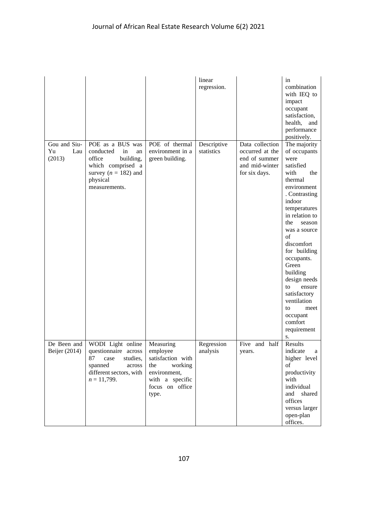|                                     |                                                                                                                                                                                                                                                                 |                                                                                                                             | linear<br>regression.     |                                                                                        | in<br>combination<br>with IEQ to<br>impact<br>occupant<br>satisfaction,<br>health,<br>and<br>performance<br>positively.                                                                                                                                                                                                                                                                  |
|-------------------------------------|-----------------------------------------------------------------------------------------------------------------------------------------------------------------------------------------------------------------------------------------------------------------|-----------------------------------------------------------------------------------------------------------------------------|---------------------------|----------------------------------------------------------------------------------------|------------------------------------------------------------------------------------------------------------------------------------------------------------------------------------------------------------------------------------------------------------------------------------------------------------------------------------------------------------------------------------------|
| Gou and Siu-<br>Yu<br>Lau<br>(2013) | POE as a BUS was<br>conducted<br>in<br>an<br>office<br>building,<br>which comprised a<br>survey ( $n = 182$ ) and<br>physical<br>measurements.                                                                                                                  | POE of thermal<br>environment in a<br>green building.                                                                       | Descriptive<br>statistics | Data collection<br>occurred at the<br>end of summer<br>and mid-winter<br>for six days. | The majority<br>of occupants<br>were<br>satisfied<br>with<br>the<br>thermal<br>environment<br>. Contrasting<br>indoor<br>temperatures<br>in relation to<br>the<br>season<br>was a source<br>of<br>discomfort<br>for building<br>occupants.<br>Green<br>building<br>design needs<br>to<br>ensure<br>satisfactory<br>ventilation<br>meet<br>to<br>occupant<br>comfort<br>requirement<br>S. |
| De Been and<br>Beijer (2014)        | WODI Light online<br>questionnaire across<br>87<br>studies,<br>$\operatorname*{case}% \left( b^{\prime},\mathbf{0}\right) \equiv\operatorname*{case}\left( b^{\prime\prime},\mathbf{0}\right)$<br>spanned<br>across<br>different sectors, with<br>$n = 11,799.$ | Measuring<br>employee<br>satisfaction with<br>the<br>working<br>environment,<br>with a specific<br>focus on office<br>type. | Regression<br>analysis    | Five and half<br>years.                                                                | Results<br>indicate<br>a<br>higher level<br>of<br>productivity<br>with<br>individual<br>and shared<br>offices<br>versus larger<br>open-plan<br>offices.                                                                                                                                                                                                                                  |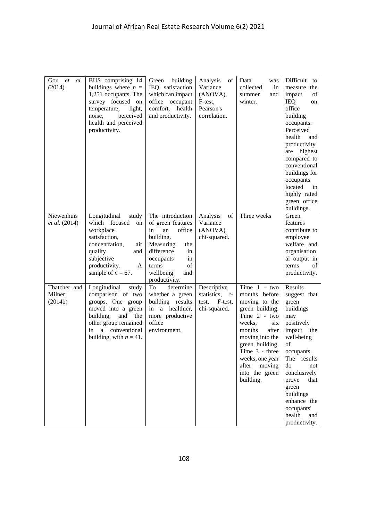| Gou<br><i>et</i><br>al.<br>(2014)  | BUS comprising 14<br>buildings where $n =$<br>1,251 occupants. The<br>survey focused on<br>temperature,<br>light,<br>noise,<br>perceived<br>health and perceived<br>productivity.             | Green building<br>IEQ satisfaction<br>which can impact<br>office occupant<br>comfort, health<br>and productivity.                                                                       | of<br>Analysis<br>Variance<br>(ANOVA),<br>F-test,<br>Pearson's<br>correlation. | Data<br>was<br>collected<br>in<br>and<br>summer<br>winter.                                                                                                                                                                                         | Difficult<br>to<br>measure<br>the<br>impact<br>of<br><b>IEQ</b><br>on<br>office<br>building<br>occupants.<br>Perceived<br>health<br>and<br>productivity<br>highest<br>are<br>compared to<br>conventional<br>buildings for<br>occupants<br>located<br>in<br>highly rated<br>green office<br>buildings. |
|------------------------------------|-----------------------------------------------------------------------------------------------------------------------------------------------------------------------------------------------|-----------------------------------------------------------------------------------------------------------------------------------------------------------------------------------------|--------------------------------------------------------------------------------|----------------------------------------------------------------------------------------------------------------------------------------------------------------------------------------------------------------------------------------------------|-------------------------------------------------------------------------------------------------------------------------------------------------------------------------------------------------------------------------------------------------------------------------------------------------------|
| Niewenhuis<br><i>et al.</i> (2014) | Longitudinal<br>study<br>which focused<br>on<br>workplace<br>satisfaction,<br>concentration,<br>air<br>quality<br>and<br>subjective<br>productivity.<br>A<br>sample of $n = 67$ .             | The introduction<br>of green features<br>in<br>an<br>office<br>building.<br>Measuring<br>the<br>difference<br>in<br>occupants<br>in<br>of<br>terms<br>wellbeing<br>and<br>productivity. | of<br>Analysis<br>Variance<br>(ANOVA),<br>chi-squared.                         | Three weeks                                                                                                                                                                                                                                        | Green<br>features<br>contribute to<br>employee<br>welfare and<br>organisation<br>al output in<br>terms<br>οf<br>productivity.                                                                                                                                                                         |
| Thatcher and<br>Milner<br>(2014b)  | Longitudinal<br>study<br>comparison of two<br>groups. One group<br>moved into a green<br>building,<br>and<br>the<br>other group remained<br>a conventional<br>in<br>building, with $n = 41$ . | To<br>determine<br>whether a green<br>building results<br>in a healthier,<br>more productive<br>office<br>environment.                                                                  | Descriptive<br>statistics, t-<br>test, F-test,<br>chi-squared.                 | Time 1 - two<br>months before<br>moving to the<br>green building.<br>Time 2 - two<br>weeks,<br>six<br>after<br>months<br>moving into the<br>green building.<br>Time 3 - three<br>weeks, one year<br>after<br>moving<br>into the green<br>building. | Results<br>suggest that<br>green<br>buildings<br>may<br>positively<br>impact<br>the<br>well-being<br>of<br>occupants.<br>The results<br>do<br>not<br>conclusively<br>that<br>prove<br>green<br>buildings<br>enhance the<br>occupants'<br>health<br>and<br>productivity.                               |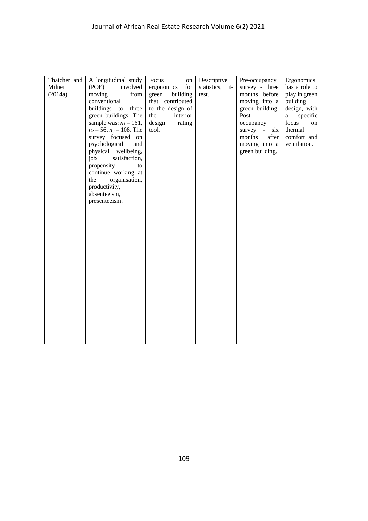| Thatcher and | A longitudinal study               | Focus<br>on                          | Descriptive    | Pre-occupancy                    | Ergonomics               |
|--------------|------------------------------------|--------------------------------------|----------------|----------------------------------|--------------------------|
| Milner       | (POE)<br>involved                  | ergonomics<br>for                    | statistics, t- | survey - three                   | has a role to            |
| (2014a)      | moving<br>from                     | green<br>building                    | test.          | months before                    | play in green            |
|              | conventional<br>buildings to three | that contributed<br>to the design of |                | moving into a<br>green building. | building<br>design, with |
|              | green buildings. The               | the<br>interior                      |                | Post-                            | specific<br>a            |
|              | sample was: $n_l = 161$ ,          | design<br>rating                     |                | occupancy                        | focus<br>on              |
|              | $n_2 = 56$ , $n_3 = 108$ . The     | tool.                                |                | survey -<br>six                  | thermal                  |
|              | survey focused on                  |                                      |                | after<br>months                  | comfort and              |
|              | psychological<br>and               |                                      |                | moving into a                    | ventilation.             |
|              | physical wellbeing,                |                                      |                | green building.                  |                          |
|              | job<br>satisfaction,               |                                      |                |                                  |                          |
|              | propensity<br>to                   |                                      |                |                                  |                          |
|              | continue working at                |                                      |                |                                  |                          |
|              | the<br>organisation,               |                                      |                |                                  |                          |
|              | productivity,<br>absenteeism,      |                                      |                |                                  |                          |
|              | presenteeism.                      |                                      |                |                                  |                          |
|              |                                    |                                      |                |                                  |                          |
|              |                                    |                                      |                |                                  |                          |
|              |                                    |                                      |                |                                  |                          |
|              |                                    |                                      |                |                                  |                          |
|              |                                    |                                      |                |                                  |                          |
|              |                                    |                                      |                |                                  |                          |
|              |                                    |                                      |                |                                  |                          |
|              |                                    |                                      |                |                                  |                          |
|              |                                    |                                      |                |                                  |                          |
|              |                                    |                                      |                |                                  |                          |
|              |                                    |                                      |                |                                  |                          |
|              |                                    |                                      |                |                                  |                          |
|              |                                    |                                      |                |                                  |                          |
|              |                                    |                                      |                |                                  |                          |
|              |                                    |                                      |                |                                  |                          |
|              |                                    |                                      |                |                                  |                          |
|              |                                    |                                      |                |                                  |                          |
|              |                                    |                                      |                |                                  |                          |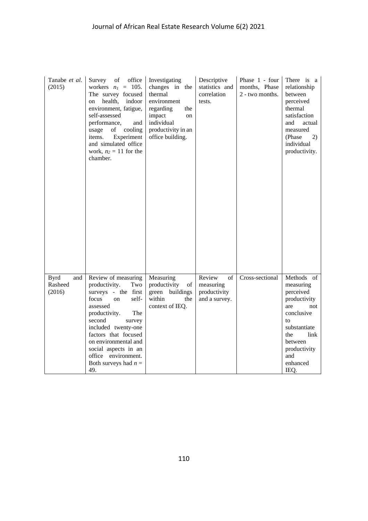| Tanabe et al.<br>(2015)                 | Survey of office<br>workers $n_l = 105$ .<br>The survey focused<br>health,<br>indoor<br>on<br>environment, fatigue,<br>self-assessed<br>performance,<br>and<br>cooling<br>usage<br>of<br>Experiment<br>items.<br>and simulated office<br>work, $n_2 = 11$ for the<br>chamber.                             | Investigating<br>changes in the<br>thermal<br>environment<br>regarding<br>the<br>impact<br>on<br>individual<br>productivity in an<br>office building. | Descriptive<br>statistics and<br>correlation<br>tests.     | Phase 1 - four<br>months, Phase<br>2 - two months. | There is a<br>relationship<br>between<br>perceived<br>thermal<br>satisfaction<br>and<br>actual<br>measured<br>(Phase)<br>2)<br>individual<br>productivity.                  |
|-----------------------------------------|-----------------------------------------------------------------------------------------------------------------------------------------------------------------------------------------------------------------------------------------------------------------------------------------------------------|-------------------------------------------------------------------------------------------------------------------------------------------------------|------------------------------------------------------------|----------------------------------------------------|-----------------------------------------------------------------------------------------------------------------------------------------------------------------------------|
| and<br><b>Byrd</b><br>Rasheed<br>(2016) | Review of measuring<br>productivity.<br>Two<br>surveys - the first<br>focus<br>self-<br>on<br>assessed<br>The<br>productivity.<br>second<br>survey<br>included twenty-one<br>factors that focused<br>on environmental and<br>social aspects in an<br>office environment.<br>Both surveys had $n =$<br>49. | Measuring<br>productivity<br>of<br>green buildings<br>within<br>the<br>context of IEQ.                                                                | Review<br>of<br>measuring<br>productivity<br>and a survey. | Cross-sectional                                    | Methods of<br>measuring<br>perceived<br>productivity<br>are<br>not<br>conclusive<br>to<br>substantiate<br>link<br>the<br>between<br>productivity<br>and<br>enhanced<br>IEQ. |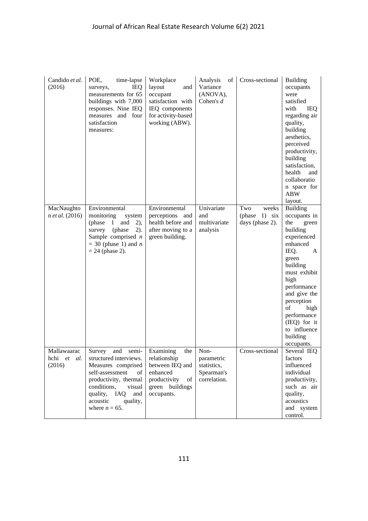| Candido et al.<br>(2016)             | POE,<br>time-lapse<br>IEQ<br>surveys,<br>measurements for 65<br>buildings with 7,000<br>responses. Nine IEQ<br>measures and four<br>satisfaction<br>measures:                                               | Workplace<br>layout<br>and<br>occupant<br>satisfaction with<br>IEQ components<br>for activity-based<br>working (ABW).        | Analysis<br>of 1<br>Variance<br>(ANOVA),<br>Cohen's $d$         | Cross-sectional                                  | <b>Building</b><br>occupants<br>were<br>satisfied<br>with<br>IEQ<br>regarding air<br>quality,<br>building<br>aesthetics,<br>perceived<br>productivity,<br>building<br>satisfaction,<br>health<br>and<br>collaboratio<br>n space for<br><b>ABW</b><br>layout.                           |
|--------------------------------------|-------------------------------------------------------------------------------------------------------------------------------------------------------------------------------------------------------------|------------------------------------------------------------------------------------------------------------------------------|-----------------------------------------------------------------|--------------------------------------------------|----------------------------------------------------------------------------------------------------------------------------------------------------------------------------------------------------------------------------------------------------------------------------------------|
| MacNaughto<br>n et al. (2016)        | Environmental<br>monitoring<br>system<br>(phase 1)<br>and<br>$(2)$ ,<br>$2)$ .<br>(phase<br>survey<br>Sample comprised $n$<br>$=$ 30 (phase 1) and <i>n</i><br>$= 24$ (phase 2).                            | Environmental<br>perceptions and<br>health before and<br>after moving to a<br>green building.                                | Univariate<br>and<br>multivariate<br>analysis                   | Two<br>weeks<br>(phase 1) six<br>days (phase 2). | <b>Building</b><br>occupants in<br>the<br>green<br>building<br>experienced<br>enhanced<br>IEQ.<br>A<br>green<br>building<br>must exhibit<br>high<br>performance<br>and give the<br>perception<br>of<br>high<br>performance<br>$(IEQ)$ for it<br>to influence<br>building<br>occupants. |
| Mallawaarac<br>hchi et al.<br>(2016) | Survey<br>and<br>structured interviews.<br>Measures comprised<br>self-assessment<br>of<br>productivity, thermal<br>conditions,<br>visual<br>quality, IAQ<br>and<br>acoustic<br>quality,<br>where $n = 65$ . | semi- Examining<br>the<br>relationship<br>between IEQ and<br>enhanced<br>productivity<br>of<br>green buildings<br>occupants. | Non-<br>parametric<br>statistics,<br>Spearman's<br>correlation. | Cross-sectional                                  | Several IEO<br>factors<br>influenced<br>individual<br>productivity,<br>such as air<br>quality,<br>acoustics<br>and system<br>control.                                                                                                                                                  |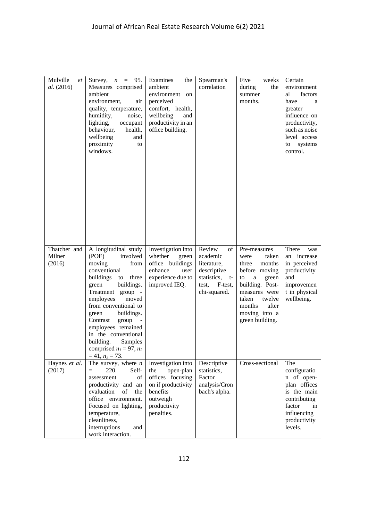| Mulville<br>et<br>al. (2016)     | Survey, $n = 95$ .<br>Measures comprised<br>ambient<br>environment,<br>air<br>quality, temperature,<br>humidity,<br>noise,<br>lighting,<br>occupant<br>behaviour,<br>health,<br>wellbeing<br>and<br>proximity<br>to<br>windows.                                                                                                                                                                     | Examines<br>the<br>ambient<br>environment<br>on<br>perceived<br>comfort, health,<br>wellbeing<br>and<br>productivity in an<br>office building. | Spearman's<br>correlation                                                                                    | Five<br>weeks<br>during<br>the<br>summer<br>months.                                                                                                                                                            | Certain<br>environment<br>factors<br>al<br>have<br>a<br>greater<br>influence on<br>productivity,<br>such as noise<br>level access<br>systems<br>to<br>control. |
|----------------------------------|-----------------------------------------------------------------------------------------------------------------------------------------------------------------------------------------------------------------------------------------------------------------------------------------------------------------------------------------------------------------------------------------------------|------------------------------------------------------------------------------------------------------------------------------------------------|--------------------------------------------------------------------------------------------------------------|----------------------------------------------------------------------------------------------------------------------------------------------------------------------------------------------------------------|----------------------------------------------------------------------------------------------------------------------------------------------------------------|
| Thatcher and<br>Milner<br>(2016) | A longitudinal study<br>(POE)<br>involved<br>moving<br>from<br>conventional<br>buildings<br>to<br>three<br>buildings.<br>green<br>Treatment group -<br>employees<br>moved<br>from conventional to<br>buildings.<br>green<br>Contrast<br>group<br>$\overline{\phantom{a}}$<br>employees remained<br>in the conventional<br>building.<br>Samples<br>comprised $n_1 = 97$ , $n_2$<br>$= 41, n_3 = 73.$ | Investigation into<br>whether<br>green<br>office buildings<br>enhance<br>user<br>experience due to<br>improved IEQ.                            | of<br>Review<br>academic<br>literature,<br>descriptive<br>statistics, t-<br>test,<br>F-test,<br>chi-squared. | Pre-measures<br>taken<br>were<br>three<br>months<br>before moving<br>$\mathbf{a}$<br>green<br>to<br>building. Post-<br>measures were<br>twelve<br>taken<br>after<br>months<br>moving into a<br>green building. | There<br>was<br>an increase<br>in perceived<br>productivity<br>and<br>improvemen<br>t in physical<br>wellbeing.                                                |
| Haynes et al.<br>(2017)          | The survey, where $n$<br>220.<br>Self-<br>$=$<br>assessment<br>of<br>productivity and an<br>evaluation<br>of<br>the<br>office<br>environment.<br>Focused on lighting,<br>temperature,<br>cleanliness,<br>interruptions<br>and<br>work interaction.                                                                                                                                                  | Investigation into<br>the<br>open-plan<br>offices focusing<br>on if productivity<br>benefits<br>outweigh<br>productivity<br>penalties.         | Descriptive<br>statistics,<br>Factor<br>analysis/Cron<br>bach's alpha.                                       | Cross-sectional                                                                                                                                                                                                | The<br>configuratio<br>n of open-<br>plan offices<br>is the main<br>contributing<br>factor<br>in<br>influencing<br>productivity<br>levels.                     |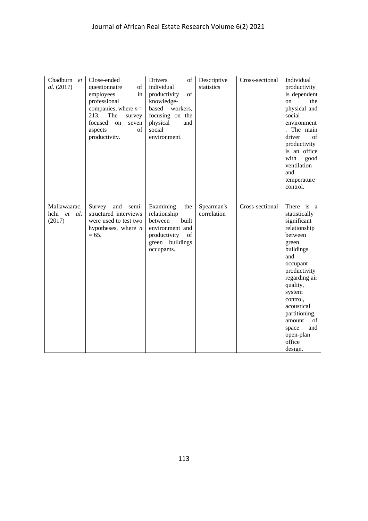| Chadburn et<br>al. (2017)               | Close-ended<br>questionnaire<br>of<br>employees<br>in<br>professional<br>companies, where $n =$<br>213.<br>The<br>survey<br>focused<br>on<br>seven<br>aspects<br>of<br>productivity. | Drivers<br>of<br>individual<br>of<br>productivity<br>knowledge-<br>based workers,<br>focusing on the<br>physical<br>and<br>social<br>environment. | Descriptive<br>statistics | Cross-sectional | Individual<br>productivity<br>is dependent<br>the<br>on<br>physical and<br>social<br>environment<br>The main<br>driver<br>of<br>productivity<br>is an office<br>with<br>good<br>ventilation<br>and<br>temperature<br>control.                                                      |
|-----------------------------------------|--------------------------------------------------------------------------------------------------------------------------------------------------------------------------------------|---------------------------------------------------------------------------------------------------------------------------------------------------|---------------------------|-----------------|------------------------------------------------------------------------------------------------------------------------------------------------------------------------------------------------------------------------------------------------------------------------------------|
| Mallawaarac<br>hchi et<br>al.<br>(2017) | Survey<br>and<br>semi-<br>structured interviews<br>were used to test two<br>hypotheses, where $n$<br>$= 65.$                                                                         | Examining<br>the<br>relationship<br>between<br>built<br>environment and<br>productivity<br>of<br>green buildings<br>occupants.                    | Spearman's<br>correlation | Cross-sectional | There is a<br>statistically<br>significant<br>relationship<br>between<br>green<br>buildings<br>and<br>occupant<br>productivity<br>regarding air<br>quality,<br>system<br>control,<br>acoustical<br>partitioning,<br>amount<br>of<br>space<br>and<br>open-plan<br>office<br>design. |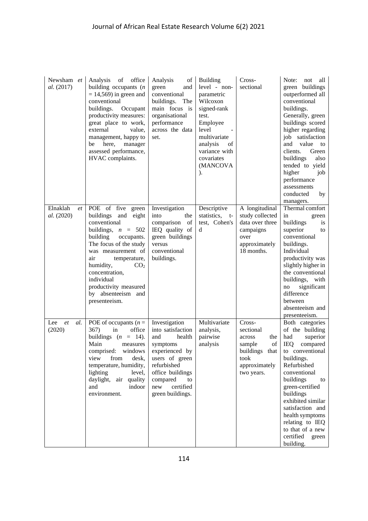| Newsham et<br>al. (2017)     | office<br>Analysis<br>of<br>building occupants $(n)$<br>$= 14,569$ in green and<br>conventional<br>buildings.<br>Occupant<br>productivity measures:<br>great place to work,<br>external<br>value,<br>management, happy to<br>here,<br>be<br>manager<br>assessed performance,<br>HVAC complaints.                     | Analysis<br>of<br>green<br>and<br>conventional<br>buildings.<br>The<br>main focus is<br>organisational<br>performance<br>across the data<br>set.                                                 | <b>Building</b><br>level - non-<br>parametric<br>Wilcoxon<br>signed-rank<br>test.<br>Employee<br>level<br>multivariate<br>analysis<br>οf<br>variance with<br>covariates<br>(MANCOVA<br>$\mathcal{L}$ | Cross-<br>sectional                                                                                      | Note:<br>not<br>all<br>green buildings<br>outperformed all<br>conventional<br>buildings.<br>Generally, green<br>buildings scored<br>higher regarding<br>job satisfaction<br>and<br>value<br>to<br>clients.<br>Green<br>buildings<br>also<br>tended to yield<br>higher<br>job<br>performance<br>assessments<br>conducted<br>by<br>managers.              |
|------------------------------|----------------------------------------------------------------------------------------------------------------------------------------------------------------------------------------------------------------------------------------------------------------------------------------------------------------------|--------------------------------------------------------------------------------------------------------------------------------------------------------------------------------------------------|------------------------------------------------------------------------------------------------------------------------------------------------------------------------------------------------------|----------------------------------------------------------------------------------------------------------|---------------------------------------------------------------------------------------------------------------------------------------------------------------------------------------------------------------------------------------------------------------------------------------------------------------------------------------------------------|
| Elnaklah<br>et<br>al. (2020) | POE of five green<br>buildings<br>and eight<br>conventional<br>buildings, $n = 502$<br>building<br>occupants.<br>The focus of the study<br>was measurement of<br>air<br>temperature,<br>CO <sub>2</sub><br>humidity,<br>concentration,<br>individual<br>productivity measured<br>by absenteeism and<br>presenteeism. | Investigation<br>into<br>the<br>of<br>comparison<br>IEQ quality of<br>green buildings<br>versus<br>conventional<br>buildings.                                                                    | Descriptive<br>statistics,<br>t-<br>test, Cohen's<br>d                                                                                                                                               | A longitudinal<br>study collected<br>data over three<br>campaigns<br>over<br>approximately<br>18 months. | Thermal comfort<br>in<br>green<br>buildings<br>is<br>superior<br>to<br>conventional<br>buildings.<br>Individual<br>productivity was<br>slightly higher in<br>the conventional<br>buildings, with<br>significant<br>no<br>difference<br>between<br>absenteeism and<br>presenteeism.                                                                      |
| et<br>al.<br>Lee<br>(2020)   | POE of occupants ( $n =$<br>367)<br>in<br>office<br>buildings $(n = 14)$ .<br>Main<br>measures<br>comprised: windows<br>from<br>view<br>desk,<br>temperature, humidity,<br>lighting<br>level,<br>daylight, air quality<br>indoor<br>and<br>environment.                                                              | Investigation<br>into satisfaction<br>and<br>health<br>symptoms<br>experienced by<br>users of green<br>refurbished<br>office buildings<br>compared<br>to<br>certified<br>new<br>green buildings. | Multivariate<br>analysis,<br>pairwise<br>analysis                                                                                                                                                    | Cross-<br>sectional<br>the<br>across<br>sample<br>of<br>took<br>approximately<br>two years.              | Both categories<br>of the building<br>had<br>superior<br><b>IEQ</b><br>compared<br>buildings that to conventional<br>buildings.<br>Refurbished<br>conventional<br>buildings<br>to<br>green-certified<br>buildings<br>exhibited similar<br>satisfaction and<br>health symptoms<br>relating to IEQ<br>to that of a new<br>certified<br>green<br>building. |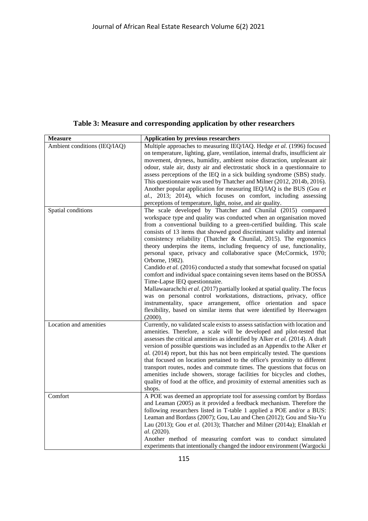**Table 3: Measure and corresponding application by other researchers**

| <b>Measure</b>               | <b>Application by previous researchers</b>                                      |
|------------------------------|---------------------------------------------------------------------------------|
| Ambient conditions (IEQ/IAQ) | Multiple approaches to measuring IEQ/IAQ. Hedge et al. (1996) focused           |
|                              | on temperature, lighting, glare, ventilation, internal drafts, insufficient air |
|                              | movement, dryness, humidity, ambient noise distraction, unpleasant air          |
|                              | odour, stale air, dusty air and electrostatic shock in a questionnaire to       |
|                              | assess perceptions of the IEQ in a sick building syndrome (SBS) study.          |
|                              | This questionnaire was used by Thatcher and Milner (2012, 2014b, 2016).         |
|                              | Another popular application for measuring IEQ/IAQ is the BUS (Gou et            |
|                              | al., 2013; 2014), which focuses on comfort, including assessing                 |
|                              | perceptions of temperature, light, noise, and air quality.                      |
| Spatial conditions           | The scale developed by Thatcher and Chunilal (2015) compared                    |
|                              | workspace type and quality was conducted when an organisation moved             |
|                              | from a conventional building to a green-certified building. This scale          |
|                              | consists of 13 items that showed good discriminant validity and internal        |
|                              | consistency reliability (Thatcher & Chunilal, 2015). The ergonomics             |
|                              | theory underpins the items, including frequency of use, functionality,          |
|                              | personal space, privacy and collaborative space (McCormick, 1970;               |
|                              | Orborne, 1982).                                                                 |
|                              | Candido et al. (2016) conducted a study that somewhat focused on spatial        |
|                              | comfort and individual space containing seven items based on the BOSSA          |
|                              | Time-Lapse IEQ questionnaire.                                                   |
|                              | Mallawaarachchi et al. (2017) partially looked at spatial quality. The focus    |
|                              | was on personal control workstations, distractions, privacy, office             |
|                              | instrumentality, space arrangement, office orientation and space                |
|                              | flexibility, based on similar items that were identified by Heerwagen           |
|                              | (2000).                                                                         |
| Location and amenities       | Currently, no validated scale exists to assess satisfaction with location and   |
|                              | amenities. Therefore, a scale will be developed and pilot-tested that           |
|                              | assesses the critical amenities as identified by Alker et al. (2014). A draft   |
|                              | version of possible questions was included as an Appendix to the Alker et       |
|                              | al. (2014) report, but this has not been empirically tested. The questions      |
|                              | that focused on location pertained to the office's proximity to different       |
|                              | transport routes, nodes and commute times. The questions that focus on          |
|                              | amenities include showers, storage facilities for bicycles and clothes,         |
|                              | quality of food at the office, and proximity of external amenities such as      |
|                              | shops.                                                                          |
| Comfort                      | A POE was deemed an appropriate tool for assessing comfort by Bordass           |
|                              | and Leaman (2005) as it provided a feedback mechanism. Therefore the            |
|                              | following researchers listed in T-table 1 applied a POE and/or a BUS:           |
|                              | Leaman and Bordass (2007); Gou, Lau and Chen (2012); Gou and Siu-Yu             |
|                              | Lau (2013); Gou et al. (2013); Thatcher and Milner (2014a); Elnaklah et         |
|                              | al. (2020).                                                                     |
|                              | Another method of measuring comfort was to conduct simulated                    |
|                              | experiments that intentionally changed the indoor environment (Wargocki         |